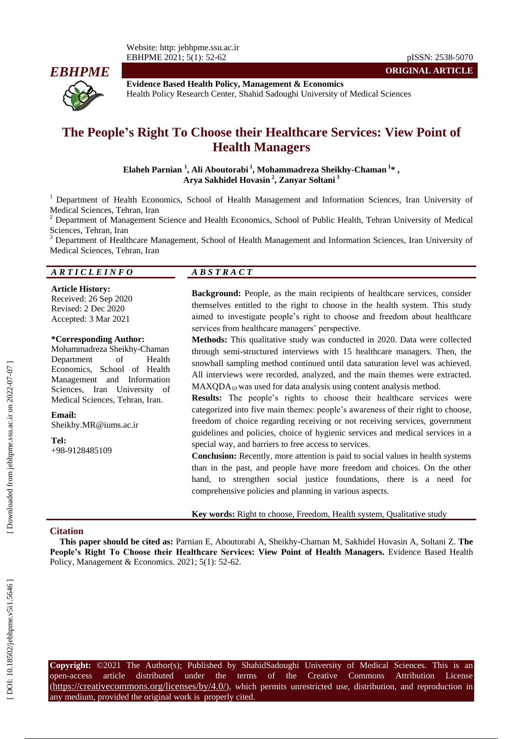

**Evidence Based Health Policy, Management & Economics** Health Policy Research Center, Shahid Sadoughi University of Medical Sciences

# **The People 's Right To Choose their Healthcare Services: View Point of Health Managers**

**Elaheh Parnian 1 , Ali Aboutorab i 1 , Mohammadreza Sheikhy -Chaman 1 \* , Arya Sakhidel Hovasin 2 , Zanyar Soltani 3**

<sup>1</sup> Department of Health Economics, School of Health Management and Information Sciences, Iran University of Medical Sciences, Tehran, Iran<br><sup>2</sup> Department of Management Science and Health Economics, School of Public Health, Tehran University of Medical

Sciences, Tehran, Iran<br><sup>3</sup> Department of Healthcare Management, School of Health Management and Information Sciences, Iran University of

Medical Sciences, Tehran, Iran

#### *A R T I C L E I N F O A B S T R A C T*

**Article History:** Received: 26 Sep 2020 Revised: 2 Dec 2020 Accepted: 3 Mar 202 1

#### **\*Corresponding Author:**

Mohammadreza Sheikhy -Chaman Department of Health Economics, School of Health Management and Information Sciences, Iran University of Medical Sciences, Tehran, Iran .

**Email:** Sheikhy.MR@iums.ac.ir

**Tel:** +98 - 9128485109

**Background:** People, as the main recipients of healthcare services, consider themselves entitled to the right to choose in the health system. This study aimed to investigate people's right to choose and freedom about healthcare services from healthcare managers' perspective.

**Methods:** This qualitative study was conducted in 2020. Data were collected through semi -structured interviews with 15 healthcare managers. Then, the snowball sampling method continued until data saturation level was achieved. All interviews were recorded, analyzed, and the main themes were extracted.  $MAXQDA<sub>10</sub>$  was used for data analysis using content analysis method.

Results: The people's rights to choose their healthcare services were categorized into five main themes: people's awareness of their right to choose, freedom of choice regarding receiving or not receiving services, government guidelines and policies, choice of hygienic services and medical services in a special way, and barriers to free access to services.

**Conclusion:** Recently, more attention is paid to social values in health systems than in the past, and people have more freedom and choices. On the other hand, to strengthen social justice foundations, there is a need for comprehensive policies and planning in various aspects.

**Key words:** Right to choose, Freedom, Health system, Qualitative study

#### **Citation**

**This paper should be cited as:** Parnian E, Aboutorab i A, Sheikhy -Chaman M, Sakhidel Hovasin A, Soltani Z. **The People's Right To Choose their Healthcare Services: View Point of Health Managers .** Evidence Based Health Policy, Management & Economics. 2021; 5(1): 52-62.

**Copyright:** ©2021 The Author(s); Published by ShahidSadoughi University of Medical Sciences. This is an open-access -access article distributed under the terms of the Creative Commons Attribution License (https://creativecommons.org/licenses/by/4.0/), which permits unrestricted use, distribution, and reproduction in any medium, provided the original work is properly cited.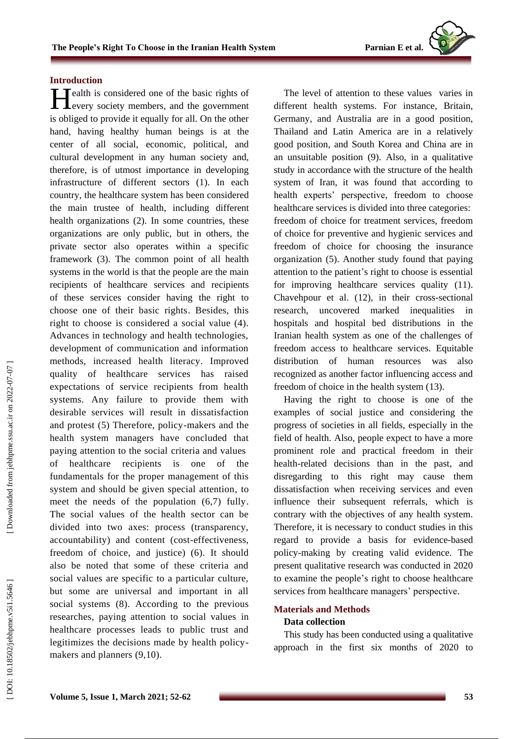#### **Introduction**

ealth is considered one of the basic rights of **H**ealth is considered one of the basic rights of every society members, and the government is obliged to provide it equally for all. On the other hand, having healthy human beings is at the center of all social, economic, political, and cultural development in any human society and, therefore, is of utmost importance in developing infrastructure of different sectors (1). In each country, the healthcare system has been considered the main trustee of health, including different health organizations (2). In some countries, these organizations are only public, but in others, the private sector also operates within a specific framework (3). The common point of all health systems in the world is that the people are the main recipients of healthcare services and recipients of these services consider having the right to choose one of their basic rights. Besides, this right to choose is considered a social value (4). Advances in technology and health technologies, development of communication and information methods, increased health literacy. Improved quality of healthcare services has raised expectations of service recipients from health systems. Any failure to provide them with desirable services will result in dissatisfaction and protest (5) Therefore, policy -makers and the health system managers have concluded that paying attention to the social criteria and values of healthcare recipients is one of the fundamentals for the proper management of this system and should be given special attention , to meet the needs of the population (6,7) fully. The social values of the health sector can be divided into two axes: process (transparency, accountability) and content (cost -effectiveness, freedom of choice, and justice) (6). It should also be noted that some of these criteria and social values are specific to a particular culture, but some are universal and important in all social systems (8). According to the previous researches, paying attention to social values in healthcare processes leads to public trust and legitimizes the decisions made by health policy makers and planners (9,10).

The level of attention to these values varies in different health systems . For instance, Britain, Germany, and Australia are in a good position, Thailand and Latin America are in a relatively good position, and South Korea and China are in an unsuitable position (9). Also, in a qualitative study in accordance with the structure of the health system of Iran, it was found that according to health experts' perspective, freedom to choose healthcare services is divided into three categories: freedom of choice for treatment services, freedom of choice for preventive and hygienic services and freedom of choice for choosing the insurance organization (5). Another study found that paying attention to the patient 's right to choose is essential for improving healthcare services quality (11). Chavehpour et al. (12), in their cross -sectional research , uncovered marked inequalities in hospitals and hospital bed distributions in the Iranian health system as one of the challenges of freedom access to healthcare services. Equitable distribution of human resources was also recognized as another factor influencing access and freedom of choice in the health system (13).

Having the right to choose is one of the examples of social justice and considering the progress of societies in all fields, especially in the field of health. Also, people expect to have a more prominent role and practical freedom in their health -related decisions than in the past , and disregarding to this right may cause them dissatisfaction when receiving services and even influence their subsequent referrals, which is contrary with the objectives of any health system . Therefore, it is necessary to conduct studies in this regard t o provide a basis for evidence -based policy -making by creating valid evidence. The present qualitative research was conducted in 2020 to examine the people 's right to choose healthcare services from healthcare managers' perspective .

## **Materials and Methods Data collection**

This study has been conducted using a qualitative approach in the first six months of 2020 to

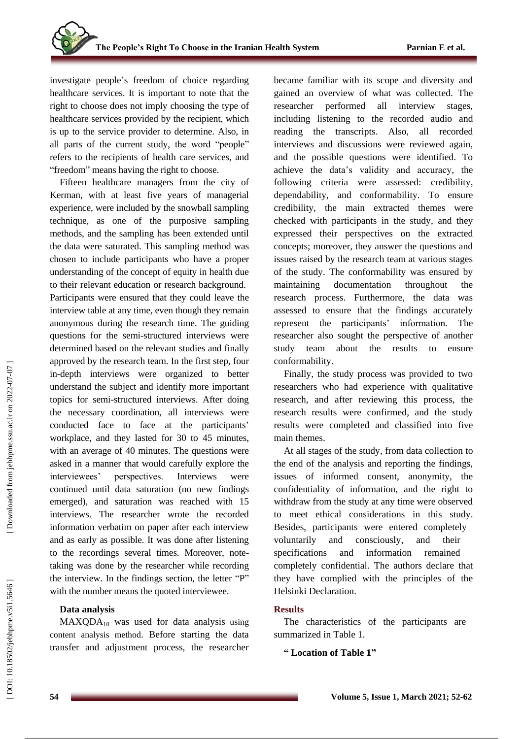investigate people 's freedom of choice regarding healthcare services. It is important to note that the right to choose does not imply choosing the type of healthcare service s provided by the recipient, which is up to the service provider to determine. Also, in all parts of the current study, the word "people " refers to the recipients of health care services, and "freedom" means having the right to choose.

Fifteen healthcare managers from the city of Kerman, with at least five years of managerial experience , were included by the snowball sampling technique, as one of the purposive sampling methods , and the sampling has been extended until the data were saturated . This sampling method was chosen to include participants who have a proper understanding of the concept of equity in health due to their relevant education or research background.

Participants were ensured that they could leave the interview table at any time, even though they remain anonymous during the research time. The guiding questions for the semi -structured interviews were determined based on the relevant studies and finally approved by the research team. In the first step, four in -depth interviews were organized to better understand the subject and identify more important topics for semi -structured interviews. After doing the necessary coordination, all interviews were conducted face to face at the participants ' workplace, and they lasted for 30 to 45 minutes, with an average of 40 minutes. The questions were asked in a manner that would carefully explore the interviewees' perspectives. Interviews were continued until data saturation ( no new findings emerged) , and saturation was reached with 15 interviews. The researcher wrote the recorded information verbatim on paper after each interview and as early as possible. It was done after listening to the recordings several times. Moreover, note taking was done by the researcher while recording the interview. In the findings section, the letter "P" with the number means the quoted interviewee .

## **Data analysis**

 $MAXQDA<sub>10</sub>$  was used for data analysis using content analysis method. Before starting the data transfer and adjustment process, the researcher became familiar with its scope and diversity and gained an overview of what was collected. The researcher performed all interview stages, including listening to the recorded audio and reading the transcripts. Also, all recorded interviews and discussions were reviewed again , and the possible questions were identified. To achieve the data's validity and accuracy, the following criteria were assessed: credibility, dependability, and c onformability. To ensure credibility, th e main extracted themes were checked with participants in the study , and they expressed their perspective s on the extracted concepts; moreover, they answer the questions and issues raised by the research team at various stages of the study. The conformability was ensured by maintaining documentation throughout the research process. Furthermore, the data was assessed to ensure that the findings accurately represent the participants' information. The researcher also sought the perspective of another study team about the results to ensure conformability.

Finally, the study process was provided to two researchers who had experience with qualitative research , and after reviewing this process, the research results were confirmed , and the study results were completed and classified into five main themes.

At all stages of the study , from data collection to the end of the analysis and reporting the findings, issues of informed consent, anonymity, the confidentiality of information, and the right to withdraw from the study at any time were observed to meet ethical considerations in this study. Besides, participants were entered completely voluntarily and consciously , and their specifications and information remained completely confidential. The authors declare that they have complied with the principles of the Helsinki Declaration.

## **Results**

The characteristics of the participants are summarized in Table 1.

**" Location of Table 1 "**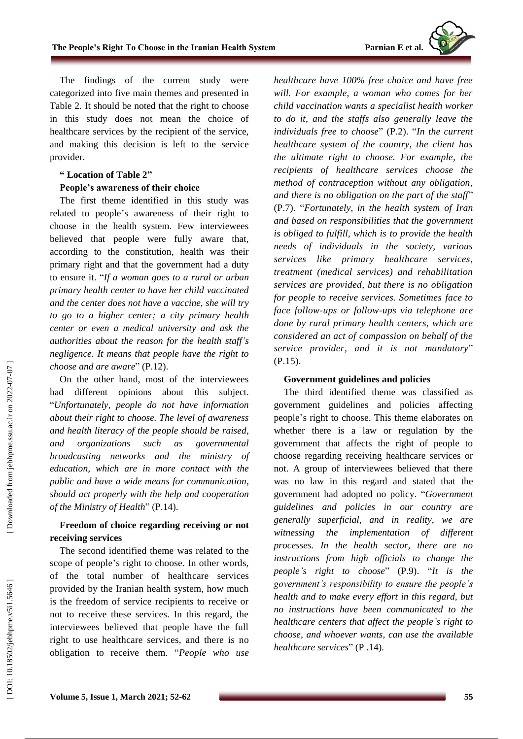

The findings of the current study were categorized into five main themes and presented in Table 2. It should be noted that the right to choose in this study does not mean the choice of healthcare services by the recipient of the service, and making this decision is left to the service provider .

#### **" Location of Table 2 "**

#### **People's awareness of their choice**

The first theme identified in this study was related to people 's awareness of their right to choose in the health system. Few interviewees believed that people were fully aware that, according to the constitution, health was their primary right and that the government had a duty to ensure it. "*If a woman goes to a rural or urban primary health center to have her child vaccinated and the center does not have a vaccine, she will try to go to a higher center ; a city primary health center or even a medical university and ask the authorities about the reason for the health staff 's negligence. It means that people have the right to choose and are aware* " (P.12).

On the other hand, most of the interviewees had different opinions about this subject. "*Unfortunately, people do not have information about their right to choose. The level of awareness and health literacy of the people should be raised, and organizations such as governmental broadcasting networks and the ministry of education, which are in more contact with the public and have a wide means for communication, should act properly with the help and cooperation of the Ministry of Health*" (P.14).

#### **Freedom of choice regarding receiving or not receiving services**

The second identified theme was related to the scope of people 's right to choose . In other words, of the total number of healthcare services provided by the Iranian health system, how much is the freedom of service recipients to receive or not to receive these services. In this regard, the interviewees believed that people have the full right to use healthcare services , and there is no obligation to receive them. "*People who use*

*healthcare have 100% free choice and have free will. For example, a woman who comes for her child vaccination wants a specialist health worker to do it, and the staffs also generally leave the individual s free to choose* " (P.2). "*In the current healthcare system of the country, the client has the ultimate right to choose. For example, the recipients of healthcare services choose the method of contraception without any obligation , and there is no obligation on the part of the staff*" (P.7). "*Fortunately, in the health system of Iran and based on responsibilities that the government is obliged to fulfill, which is to provide the health needs of individuals in the society, various services like primary healthcare services , treatment (medical services ) and rehabilitation services are provided, but there is no obligation for people to receive services. Sometimes face to face follow -up s or follow -ups via telephone are done by rural primary health centers, which are considered an act of compassion on behalf of the*  service provider, and it is not mandatory" (P.15).

#### **Government guidelines and policies**

The third identified theme was classified as government guidelines and policies affecting people 's right to choose. This theme elaborates on whether there is a law or regulation by the government that affects the right of people to choose regarding receiving healthcare services or not. A group of interviewees believed that there was no law in this regard and stated that the government had adopted no policy. "*Government guidelines and policies in our country are generally superficial , and in reality, we are witnessing the implementation of different processes. In the health sector, there are no instructions from high officials to change the people 's right to choose* " (P.9). "*It is the government's responsibility to ensure the people's health and to make every effort in this regard, but no instructions have been communicated to the healthcare centers that affect the people 's right to choose , and whoever wants, can use the available healthcare services* " (P .14).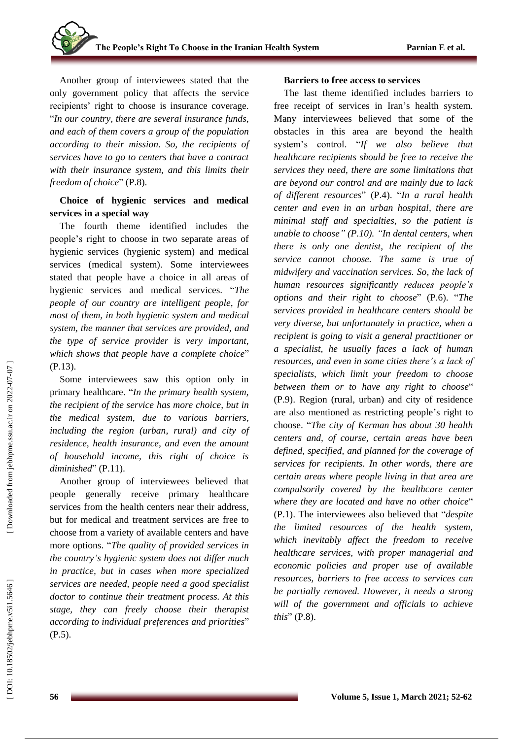Another group of interviewees stated that the only government policy that affects the service recipients' right to choose is insurance coverage. "*In our country, there are several insurance funds, and each of them covers a group of the population according to their mission . S o , the recipients of services have to go to centers that have a contract with their insurance system, and this limits their freedom of choice* " (P.8).

## **Choice of hygienic services and medical services in a special way**

The fourth theme identified includes the people's right to choose in two separate areas of hygienic services (hygienic system) and medical services (medical system) . Some interviewees stated that people have a choice in all areas of hygienic services and medical services. "*The people of our country are intelligent people, for most of them, in both hygienic system and medical system, the manner that services are provided, and the type of service provider is very important,*  which shows that people have a complete choice" (P.13).

Some interviewees saw this option only in primary healthcare. "*In the primary health system, the recipient of the service has more choice, but in the medical system, due to various barriers, including the region (urban, rural) and city of residence, health insurance, and even the amount of household income, this right of choice is*  diminished" (P.11).

Another group of interviewees believed that people generally receive primary healthcare services from the health center s near their address, but for medical and treatment services are free to choose from a variety of available centers and have more options. "*The quality of provided services in the country 's hygienic system does not differ much in practice, but in cases whe n more specialized services are needed, people need a good specialist doctor to continue their treatment process. At this stage, they can freely choose their therapist according to individual preferences and priorities* " (P.5).

#### **Barriers to free access to services**

The last theme identified includes barriers to free receipt of services in Iran 's health system. Many interviewees believed that some of the obstacle s in this area are beyond the health system's control. "*If we also believe that healthcare recipients should be free to receive the services they need, there are some limitations that are beyond our control and are mainly due to lack of different resources* " (P.4). "*In a rural health center and even in an urban hospital , there are minimal staff and specialties, so the patient is unable to choose " (P.10). "In dental centers, when there is only one dentist, the recipient of the service cannot choose. The same is true of midwifery and vaccination services. So, the lack of human resources significantly reduces people's options and their right to choose* " (P.6). "*The services provided in healthcare centers should be very diverse, but unfortunately in practice, when a recipient is going to visit a general practitioner or a specialist, he usually faces a lack of human resources, and even in some cities there's a lack of specialists, which limit your freedom to choose between them or to have any right to choose* " (P.9). Region (rural, urban) and city of residence are also mentioned as restricting people 's right to choose. "*The city of Kerman has about 30 health centers and, of course, certain areas have been defined, specified, and planne d for the coverage of services for recipients. In other words, there are certain areas where people living in that area are compulsorily covered by the healthcare center where they are located and have no other choice*" (P.1). The interviewee s also believed that "*despite the limited resources of the health system, which inevitably affect the freedom to receive healthcare services, with proper managerial and economic policies and proper use of available resources, barriers to free access to services can be partially removed. However, it needs a strong will of the government and officials to achieve this* " (P.8).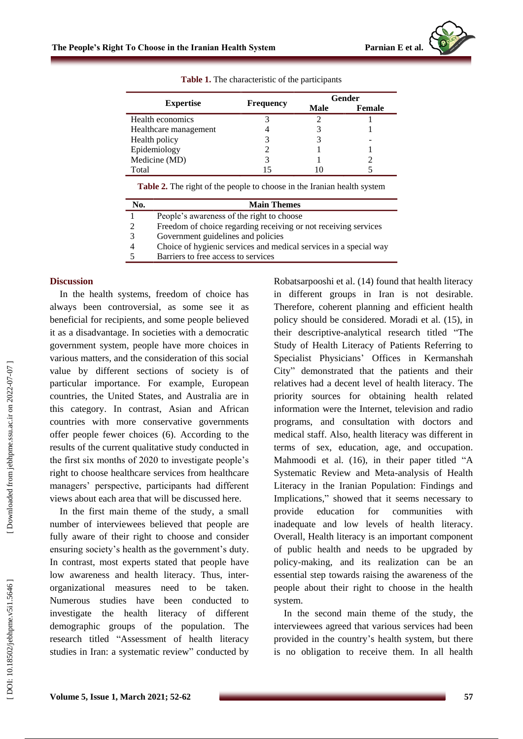|                       |                  |      | Gender        |
|-----------------------|------------------|------|---------------|
| <b>Expertise</b>      | <b>Frequency</b> | Male | <b>Female</b> |
| Health economics      |                  |      |               |
| Healthcare management |                  |      |               |
| Health policy         |                  |      |               |
| Epidemiology          |                  |      |               |
| Medicine (MD)         |                  |      |               |
| Total                 |                  |      |               |

**Table 1.** The characteristic of the participants

**Table 2.** The right of the people to choose in the Iranian health system

| No. | <b>Main Themes</b>                                                |
|-----|-------------------------------------------------------------------|
|     | People's awareness of the right to choose                         |
|     | Freedom of choice regarding receiving or not receiving services   |
|     | Government guidelines and policies                                |
|     | Choice of hygienic services and medical services in a special way |
|     | Barriers to free access to services                               |

#### **Discussion**

In the health systems, freedom of choice has always been controversial , as some see it as beneficial for recipients , and some people believed it as a disadvantage. In societies with a democratic government system, people have more choices in various matters, and the consideration of this social value by different sections of society is of particular importance. For example, European countries, the United States, and Australia are in this category. In contrast, Asian and African countries with more conservative governments offer people fewer choices (6). According to the results of the current qualitative study conducted in the first six months of 2020 to investigate people's right to choose healthcare services from healthcare managers' perspective, participants had different views about each area that will be discussed here.

In the first main theme of the study, a small number of interviewees believed that people are fully aware of their right to choose and consider ensuring society's health as the government's duty . In contrast, most experts stated that people have low awareness and health literacy. Thus, interorganizational measures need to be taken. Numerous studies have been conducted to investigate the health literacy of different demographic groups of the population. The research titled "Assessment of health literacy studies in Iran: a systematic review " conducted by Robatsarpooshi et al. (14) found that health literacy in different groups in Iran is not desirable. Therefore, coherent planning and efficient health policy should be considered. Moradi et al. (15), in their descriptive -analytical research titled "The Study of Health Literacy of Patients Referring to Specialist Physicians ' Offices in Kermanshah Cit y " demonstrated that the patients and their relatives had a decent level of health literacy. The priority sources for obtaining health related information were the Internet, television and radio programs, and consultation with doctors and medical staff. Also, health literacy was different in terms of sex, education, age, and occupation. Mahmoodi et al. (16), in their paper titled "A Systematic Review and Meta -analysis of Health Literacy in the Iranian Population: Findings and Implications , " showed that it seems necessary to provide education for communities with inadequate and low levels of health literacy. Overall, Health literacy is an important component of public health and needs to be upgraded by policy -making, and its realization can be an essential step towards raising the awareness of the people about their right to choose in the health system.

In the second main theme of the study, the interviewees agreed that various services ha d been provided in the country 's health system, but there is no obligation to receive the m. In all health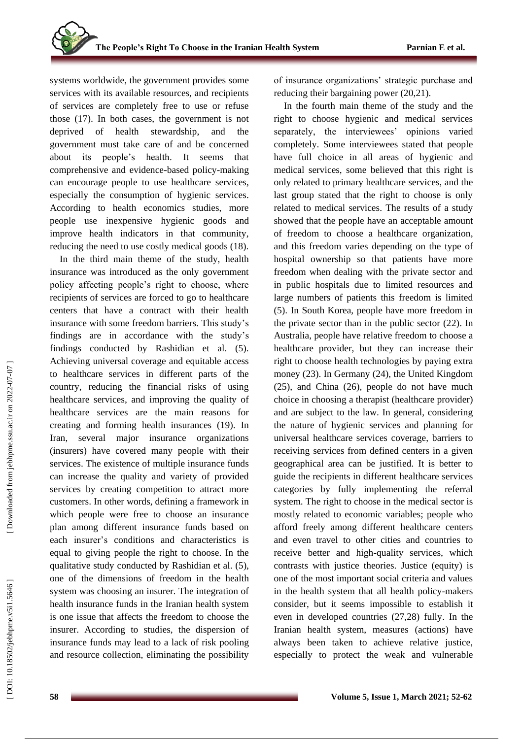systems worldwide, the government provides some services with its available resources, and recipients of services are completely free to use or refuse those (1 7 ). In both cases, the government is not deprived of health stewardship, and the government must take care of and be concerned about its people's health. It seems that comprehensive and evidence-based policy-making can encourage people to use healthcare services , especially the consumption of hygienic services. According to health economics studies, more people use inexpensive hygienic goods and improve health indicators in that community, reducing the need to use costly medical goods (1 8).

In the third main theme of the study, health insurance was introduced as the only government policy affecting people's right to choose, where recipients of services are forced to go to healthcare centers that have a contract with their health insurance with some freedom barriers. This study's findings are in accordance with the study's findings conducted by Rashidian et al. (5). Achieving universal coverage and equitable access to healthcare services in different parts of the country, reducing the financial risks of using healthcare services , and improving the quality of healthcare services are the main reason s for creating and forming health insurances (1 9). In Iran, several major insurance organizations (insurers) have covered many people with their services. The existence of multiple insurance funds can increase the quality and variety of provided services by creating competition to attract more customers. In other words, defining a framework in which people were free to choose an insurance plan among different insurance funds based on each insurer's conditions and characteristics is equal to giving people the right to choose. In the qualitative study conducted by Rashidian et al. (5) , one of the dimensions of freedom in the health system was choosing an insurer. The integration of health insurance funds in the Iranian health system is one issue that affects the freedom to choose the insurer. According to studies, the dispersion of insurance funds may lead to a lack of risk pooling and resource collection, eliminat ing the possibility of insurance organizations' strategic purchase and reducing their bargaining power (20,21).

In the fourth main theme of the study and the right to choose hygienic and medical services separately, the interviewees' opinions varied completely. Some interviewees stated that people have full choice in all areas of hygienic and medical services, some believed that this right is only related to primary healthcare services, and the last group stated that the right to choose is only related to medical services. The results of a study showed that the people have an acceptable amount of freedom to choos e a healthcare organization , and this freedom varies depending on the type of hospital ownership so that patients have more freedom when dealing with the private sector and in public hospitals due to limited resources and large numbers of patients this freedom is limited (5). In South Korea, people have more freedom in the private sector than in the public sector (2 2 ) . In Australia, people have relative freedom to choose a healthcare provider , but they can increase their right to choose health technologies by paying extra money (2 3 ) . In Germany (2 4), the United Kingdom (2 5 ) , and China (2 6), people do not have much choice in choosing a therapist (healthcare provider) and are subject to the law. In general, considering the nature of hygienic services and planning for universal healthcare services coverage, barriers to receiving services from defined centers in a given geographical area can be justified. It is better to guide the recipients in different healthcare services categories by fully implementing the referral system. The right to choose in the medical sector is mostly related to economic variables ; people who afford freely among different healthcare centers and even travel to other cities and countries to receive better and high -quality services, which contrasts with justice theories. Justice (equity) is one of the most important social criteria and values in the health system that all health policy -makers consider, but it seems impossible to establish it even in developed countries (27,28) fully. In the Iranian health system, measures (actions) have always been taken to achieve relative justice, especially to protect the weak and vulnerable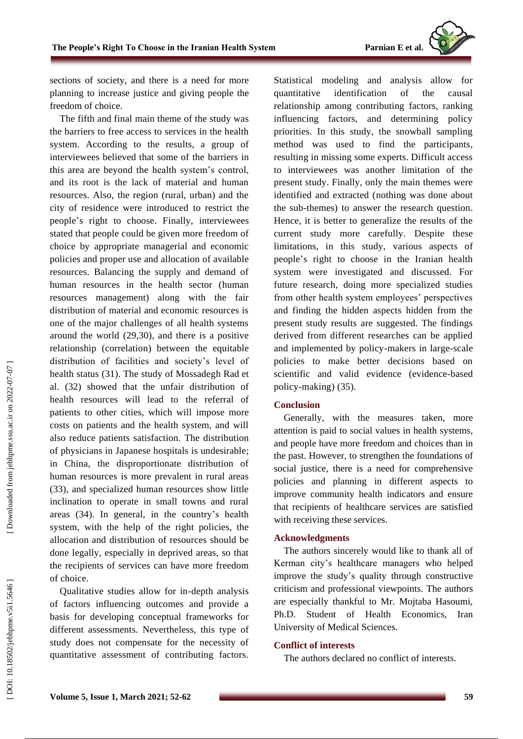Parnian E et al.



sections of society, and there is a need for more planning to increase justice and giving people the freedom of choice .

The fifth and final main theme of the study was the barriers to free access to services in the health system. According to the results, a group of interviewees believed that some of the barriers in this area are beyond the health system's control, and its root is the lack of material and human resources. Also, the region (rural, urban) and the city of residence were introduced to restrict the people 's right to choose. Finally , interviewee s stated that people could be given more freedom of choice by appropriate managerial and economic policies and proper use and allocation of available resources. Balancing the supply and demand of human resources in the health sector (human resources management) along with the fair distribution of material and economic resources is one of the major challenges of all health systems around the world (2 9 ,30 ) , and there is a positive relationship (correlation) between the equitable distribution of facilities and society's level of health status (31). The study of Mossadeg h Rad et al. (32) showed that the unfair distribution of health resources will lead to the referral of patients to other cities, which will impose more costs on patients and the health system, and will also reduce patient s satisfaction . The distribution of physicians in Japanese hospitals is undesirable ; in China , the disproportionate distribution of human resources is more prevalent in rural areas (3 3 ) , and specialized human resources show little inclination to operate in small towns and rural areas (3 4). In general, in the country's health system, with the help of the right policies, the allocation and distribution of resources should be done legally, especially in deprived areas, so that the recipients of services can have more freedom of choice.

Qualitative studies allow for in -depth analysis of factors influencing outcomes and provide a basis for developing conceptual frameworks for different assessments. Nevertheless, this type of study does not compensate for the necessity of quantitative assessment of contributing factors.

Statistical modeling and analysis allow for quantitative identification of the causal relationship among contributing factors, ranking influencing factors, and determining policy priorities. In this study, the snowball sampling method was used to find the participants , resulting in missing some experts. Difficult access to interviewees was another limitation of the present study. Finally, only the main themes were identified and extracted ( nothing was done about the sub -themes) to answer the research question. Hence, it is better to generalize the results of the current study more carefully. Despite these limitations, in this study, various aspects of people 's right to choose in the Iranian health system were investigated and discussed. For future research, doing more specialized studies from other health system employees' perspectives and finding the hidden aspects hidden from the present study results are suggested. The findings derived from different researches can be applied and implemented by policy -makers in large -scale policies to make better decisions based on scientific and valid evidence (evidence -based policy -making) (35) .

#### **Conclusion**

Generally, with the measures taken, more attention is paid to social values in health systems , and people have more freedom and choice s than in the past . However, to strengthen the foundations of social justice, there is a need for comprehensive policies and planning in different aspects to improve community health indicators and ensure that recipients of healthcare services are satisfied with receiving these services.

#### **Acknowledgments**

The authors sincerely would like to thank all of Kerman city's healthcare managers who helped improve the study's qualit y through constructive criticism and professional viewpoints. The authors are especially thankful to Mr. Mojtaba Hasoumi, Ph.D. Student of Health Economics, Iran University of Medical Sciences.

#### **Conflict of interests**

The authors declare d no conflict of interest s .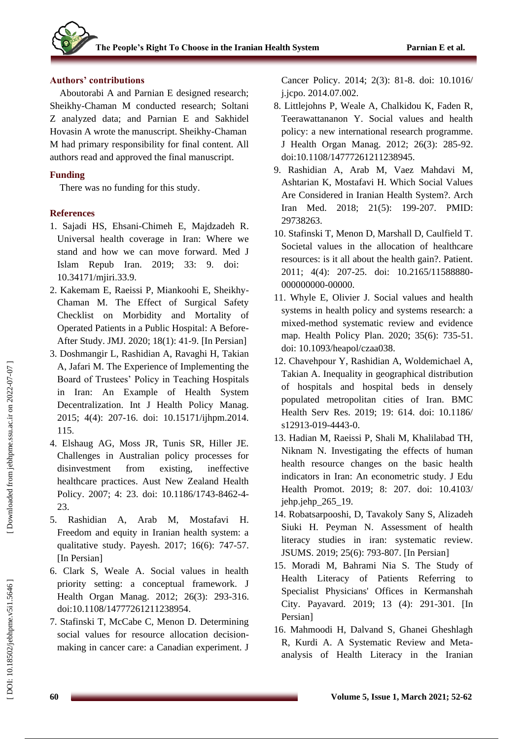# **Authors' contributions**

Aboutorabi A and Parnian E designed research; Sheikhy -Chaman M conducted research; Soltani Z analyzed data; and Parnian E and Sakhidel Hovasin A wrote the manuscript. Sheikhy -Chaman M had primary responsibility for final content. All authors read and approved the final manuscript.

# **Funding**

There was no funding for this study.

# **References**

- 1. Sajadi HS, Ehsani -Chimeh E, Majdzadeh R. Universal health coverage in Iran: Where we stand and how we can move forward. Med J Islam Repub Iran. 2019; 33: 9. doi: 10.34171/mjiri.33.9.
- 2. Kakemam E, Raeissi P, Miankoohi E, Sheikhy Chaman M. The Effect of Surgical Safety Checklist on Morbidity and Mortality of Operated Patients in a Public Hospital: A Before - After Study. JMJ. 2020; 18(1): 41 -9. [In Persian]
- 3. Doshmangir L, Rashidian A, Ravaghi H, Takian A, Jafari M. The Experience of Implementing the Board of Trustees' Policy in Teaching Hospitals in Iran: An Example of Health System Decentralization. Int J Health Policy Manag. 2015; 4(4): 207 -16. doi: 10.15171/ijhpm.2014. 115 .
- 4. Elshaug AG, Moss JR, Tunis SR, Hiller JE. Challenges in Australian policy processes for disinvestment from existing, ineffective healthcare practices. Aust New Zealand Health Policy. 2007; 4: 23. doi: 10.1186/1743-8462-4-23.
- 5. Rashidian A, Arab M, Mostafavi H. Freedom and equity in Iranian health system: a qualitative study. Payesh. 2017; 16(6): 747 -57. [In Persian]
- 6. Clark S, Weale A. Social values in health priority setting: a conceptual framework. J Health Organ Manag. 2012; 26(3): 293 -316. doi:10.1108/14777261211238954.
- 7. Stafinski T, McCabe C, Menon D. Determining social values for resource allocation decision making in cancer care: a Canadian experiment. J

Cancer Policy. 2014; 2(3): 81 -8. doi: 10.1016/ j.jcpo. 2014.07.002.

- 8. Littlejohns P, Weale A, Chalkidou K, Faden R, Teerawattananon Y. Social values and health policy: a new international research programme. J Health Organ Manag. 2012; 26(3): 285 -92. doi:10.1108/14777261211238945.
- 9. Rashidian A, Arab M, Vaez Mahdavi M, Ashtarian K, Mostafavi H. Which Social Values Are Considered in Iranian Health System?. Arch Iran Med. 2018; 21(5): 199 -207. PMID: 29738263.
- 10. Stafinski T, Menon D, Marshall D, Caulfield T. Societal values in the allocation of healthcare resources: is it all about the health gain?. Patient. 2011; 4(4): 207-25. doi: 10.2165/11588880-000000000 -00000.
- 11. Whyle E, Olivier J. Social values and health systems in health policy and systems research: a mixed -method systematic review and evidence map. Health Policy Plan. 2020; 35(6): 735 -51. doi: 10.1093/heapol/czaa038.
- 12. Chavehpour Y, Rashidian A, Woldemichael A, Takian A. Inequality in geographical distribution of hospitals and hospital beds in densely populated metropolitan cities of Iran. BMC Health Serv Res. 2019; 19: 614. doi: 10.1186/ s12913-019-4443-0.
- 13. Hadian M, Raeissi P, Shali M, Khalilabad TH, Niknam N. Investigating the effects of human health resource changes on the basic health indicators in Iran: An econometric study. J Edu Health Promot. 2019; 8: 207. doi: 10.4103/ jehp.jehp\_265\_19.
- 14. Robatsarpooshi, D, Tavakoly Sany S, Alizadeh Siuki H. Peyman N. Assessment of health literacy studies in iran: systematic review. JSUMS. 2019; 25(6): 793 -807. [In Persian]
- 15. Moradi M, Bahrami Nia S. The Study of Health Literacy of Patients Referring to Specialist Physicians' Offices in Kermanshah City. Payavard. 2019; 13 (4): 291 -301. [In Persian]
- 16. Mahmoodi H, Dalvand S, Ghanei Gheshlagh R, Kurdi A. A Systematic Review and Meta analysis of Health Literacy in the Iranian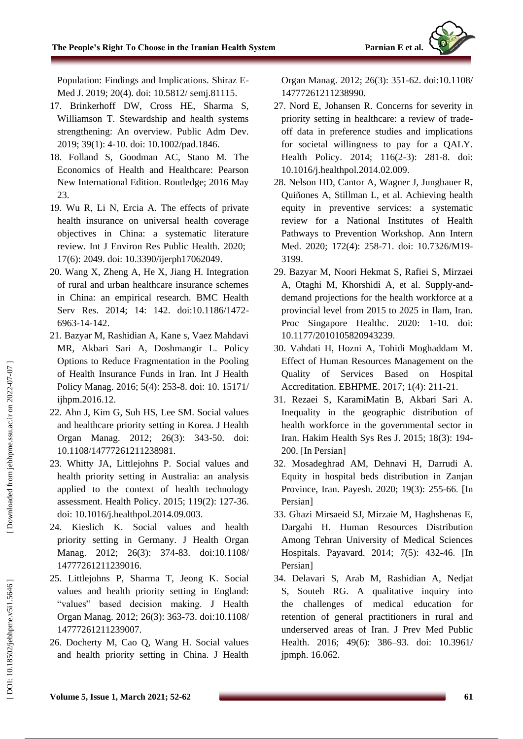Population: Findings and Implications. Shiraz E - Med J. 2019; 20(4). doi: 10.5812/ semj.81115.

- 17. Brinkerhoff DW, Cross HE, Sharma S, Williamson T. Stewardship and health systems strengthening: An overview. Public Adm Dev. 2019; 39(1): 4 -10. doi: 10.1002/pad.1846.
- 18. Folland S, Goodman AC, Stano M. The Economics of Health and Healthcare: Pearson New International Edition. Routledge; 2016 May 23.
- 19. Wu R, Li N, Ercia A. The effects of private health insurance on universal health coverage objectives in China: a systematic literature review. Int J Environ Res Public Health. 2020; 17(6): 2049. doi: 10.3390/ijerph17062049.
- 20. Wang X, Zheng A, He X, Jiang H. Integration of rural and urban healthcare insurance schemes in China: an empirical research. BMC Health Serv Res. 2014; 14: 142. doi:10.1186/1472-6963 -14 -142.
- 21. Bazyar M, Rashidian A, Kane s, Vaez Mahdavi MR, Akbari Sari A, Doshmangir L. Policy Options to Reduce Fragmentation in the Pooling of Health Insurance Funds in Iran. Int J Health Policy Manag. 2016; 5(4): 253 -8. doi: 10. 15171/ ijhpm.2016.12.
- 22. Ahn J, Kim G, Suh HS, Lee SM. Social values and healthcare priority setting in Korea. J Health Organ Manag. 2012; 26(3): 343 -50. doi: 10.1108/14777261211238981.
- 23. Whitty JA, Littlejohns P. Social values and health priority setting in Australia: an analysis applied to the context of health technology assessment. Health Policy. 2015; 119(2): 127 -36. doi: 10.1016/j.healthpol.2014.09.003.
- 24. Kieslich K. Social values and health priority setting in Germany. J Health Organ Manag. 2012; 26(3): 374 -83. doi:10.1108/ 14777261211239016.
- 25. Littlejohns P, Sharma T, Jeong K. Social values and health priority setting in England: "values" based decision making. J Health Organ Manag. 2012; 26(3): 363 -73. doi:10.1108/ 14777261211239007.
- 26. Docherty M, Cao Q, Wang H. Social values and health priority setting in China. J Health

Organ Manag. 2012; 26(3): 351 -62. doi:10.1108/ 14777261211238990.

Parnian E et al.

- 27. Nord E, Johansen R. Concerns for severity in priority setting in healthcare: a review of trade off data in preference studies and implications for societal willingness to pay for a QALY. Health Policy. 2014; 116(2-3): 281-8. doi: 10.1016/j.healthpol.2014.02.009 .
- 28. Nelson HD, Cantor A, Wagner J, Jungbauer R, Quiñones A, Stillman L, et al. Achieving health equity in preventive services: a systematic review for a National Institutes of Health Pathways to Prevention Workshop. Ann Intern Med. 2020; 172(4): 258-71. doi: 10.7326/M19-3199.
- 29. Bazyar M, Noori Hekmat S, Rafiei S, Mirzaei A, Otaghi M, Khorshidi A, et al. Supply -and demand projections for the health workforce at a provincial level from 2015 to 2025 in Ilam, Iran. Proc Singapore Healthc. 2020: 1 -10. doi: 10.1177/2010105820943239 .
- 30. Vahdati H, Hozni A, Tohidi Moghaddam M. Effect of Human Resources Management on the Quality of Services Based on Hospital Accreditation. EBHPME. 2017; 1(4): 211 -21.
- 31. Rezaei S, KaramiMatin B, Akbari Sari A. Inequality in the geographic distribution of health workforce in the governmental sector in Iran. Hakim Health Sys Res J. 2015; 18(3): 194 - 200. [In Persian]
- 32. Mosadeghrad AM, Dehnavi H, Darrudi A. Equity in hospital beds distribution in Zanjan Province, Iran. Payesh. 2020; 19(3): 255 -66 . [In Persian]
- 33. Ghazi Mirsaeid SJ, Mirzaie M, Haghshenas E, Dargahi H. Human Resources Distribution Among Tehran University of Medical Sciences Hospitals. Payavard. 2014; 7(5): 432 -46 . [In Persian]
- 34. Delavari S, Arab M, Rashidian A, Nedjat S, Souteh RG. A qualitative inquiry into the challenges of medical education for retention of general practitioners in rural and underserved areas of Iran. J Prev Med Public Health. 2016; 49(6): 386 –93. doi: 10.3961/ jpmph. 16.062.

DOI: 10.18502/jebhpme.v5i1.5646